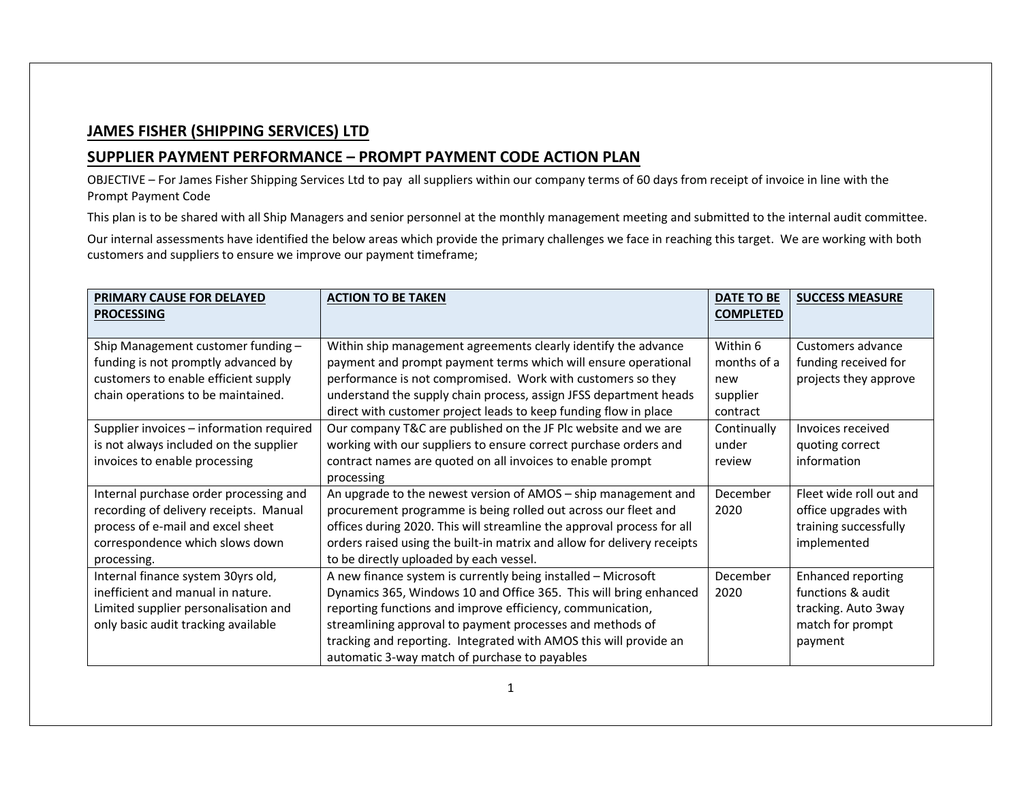## **JAMES FISHER (SHIPPING SERVICES) LTD**

## **SUPPLIER PAYMENT PERFORMANCE – PROMPT PAYMENT CODE ACTION PLAN**

 OBJECTIVE – For James Fisher Shipping Services Ltd to pay all suppliers within our company terms of 60 days from receipt of invoice in line with the Prompt Payment Code

This plan is to be shared with all Ship Managers and senior personnel at the monthly management meeting and submitted to the internal audit committee.

Our internal assessments have identified the below areas which provide the primary challenges we face in reaching this target. We are working with both customers and suppliers to ensure we improve our payment timeframe;

| <b>PRIMARY CAUSE FOR DELAYED</b><br><b>PROCESSING</b> | <b>ACTION TO BE TAKEN</b>                                               | DATE TO BE<br><b>COMPLETED</b> | <b>SUCCESS MEASURE</b>    |
|-------------------------------------------------------|-------------------------------------------------------------------------|--------------------------------|---------------------------|
|                                                       |                                                                         |                                |                           |
| Ship Management customer funding -                    | Within ship management agreements clearly identify the advance          | Within 6                       | Customers advance         |
| funding is not promptly advanced by                   | payment and prompt payment terms which will ensure operational          | months of a                    | funding received for      |
| customers to enable efficient supply                  | performance is not compromised. Work with customers so they             | new                            | projects they approve     |
| chain operations to be maintained.                    | understand the supply chain process, assign JFSS department heads       | supplier                       |                           |
|                                                       | direct with customer project leads to keep funding flow in place        | contract                       |                           |
| Supplier invoices - information required              | Our company T&C are published on the JF Plc website and we are          | Continually                    | Invoices received         |
| is not always included on the supplier                | working with our suppliers to ensure correct purchase orders and        | under                          | quoting correct           |
| invoices to enable processing                         | contract names are quoted on all invoices to enable prompt              | review                         | information               |
|                                                       | processing                                                              |                                |                           |
| Internal purchase order processing and                | An upgrade to the newest version of AMOS - ship management and          | December                       | Fleet wide roll out and   |
| recording of delivery receipts. Manual                | procurement programme is being rolled out across our fleet and          | 2020                           | office upgrades with      |
| process of e-mail and excel sheet                     | offices during 2020. This will streamline the approval process for all  |                                | training successfully     |
| correspondence which slows down                       | orders raised using the built-in matrix and allow for delivery receipts |                                | implemented               |
| processing.                                           | to be directly uploaded by each vessel.                                 |                                |                           |
| Internal finance system 30yrs old,                    | A new finance system is currently being installed - Microsoft           | December                       | <b>Enhanced reporting</b> |
| inefficient and manual in nature.                     | Dynamics 365, Windows 10 and Office 365. This will bring enhanced       | 2020                           | functions & audit         |
| Limited supplier personalisation and                  | reporting functions and improve efficiency, communication,              |                                | tracking. Auto 3way       |
| only basic audit tracking available                   | streamlining approval to payment processes and methods of               |                                | match for prompt          |
|                                                       | tracking and reporting. Integrated with AMOS this will provide an       |                                | payment                   |
|                                                       | automatic 3-way match of purchase to payables                           |                                |                           |